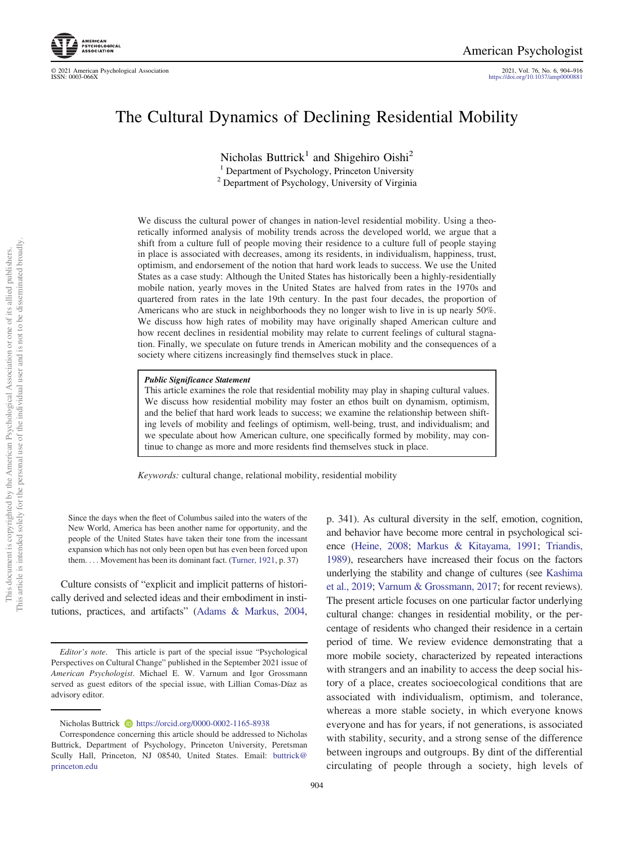© 2021 American Psychological Association 2021, Vol. 76, No. 6, 904–916 https://doi.org/10.1037/amp0000881

# The Cultural Dynamics of Declining Residential Mobility

Nicholas Buttrick<sup>1</sup> and Shigehiro Oishi<sup>2</sup> <sup>1</sup> Department of Psychology, Princeton University

<sup>2</sup> Department of Psychology, University of Virginia

We discuss the cultural power of changes in nation-level residential mobility. Using a theoretically informed analysis of mobility trends across the developed world, we argue that a shift from a culture full of people moving their residence to a culture full of people staying in place is associated with decreases, among its residents, in individualism, happiness, trust, optimism, and endorsement of the notion that hard work leads to success. We use the United States as a case study: Although the United States has historically been a highly-residentially mobile nation, yearly moves in the United States are halved from rates in the 1970s and quartered from rates in the late 19th century. In the past four decades, the proportion of Americans who are stuck in neighborhoods they no longer wish to live in is up nearly 50%. We discuss how high rates of mobility may have originally shaped American culture and how recent declines in residential mobility may relate to current feelings of cultural stagnation. Finally, we speculate on future trends in American mobility and the consequences of a society where citizens increasingly find themselves stuck in place.

#### Public Significance Statement

This article examines the role that residential mobility may play in shaping cultural values. We discuss how residential mobility may foster an ethos built on dynamism, optimism, and the belief that hard work leads to success; we examine the relationship between shifting levels of mobility and feelings of optimism, well-being, trust, and individualism; and we speculate about how American culture, one specifically formed by mobility, may continue to change as more and more residents find themselves stuck in place.

*Keywords:* cultural change, relational mobility, residential mobility

Since the days when the fleet of Columbus sailed into the waters of the New World, America has been another name for opportunity, and the people of the United States have taken their tone from the incessant expansion which has not only been open but has even been forced upon them. ... Movement has been its dominant fact. (Turner, 1921, p. 37)

Culture consists of "explicit and implicit patterns of historically derived and selected ideas and their embodiment in institutions, practices, and artifacts" (Adams & Markus, 2004, p. 341). As cultural diversity in the self, emotion, cognition, and behavior have become more central in psychological science (Heine, 2008; Markus & Kitayama, 1991; Triandis, 1989), researchers have increased their focus on the factors underlying the stability and change of cultures (see Kashima et al., 2019; Varnum & Grossmann, 2017; for recent reviews). The present article focuses on one particular factor underlying cultural change: changes in residential mobility, or the percentage of residents who changed their residence in a certain period of time. We review evidence demonstrating that a more mobile society, characterized by repeated interactions with strangers and an inability to access the deep social history of a place, creates socioecological conditions that are associated with individualism, optimism, and tolerance, whereas a more stable society, in which everyone knows everyone and has for years, if not generations, is associated with stability, security, and a strong sense of the difference between ingroups and outgroups. By dint of the differential circulating of people through a society, high levels of

*Editor*'*s note*. This article is part of the special issue "Psychological Perspectives on Cultural Change" published in the September 2021 issue of *American Psychologist*. Michael E. W. Varnum and Igor Grossmann served as guest editors of the special issue, with Lillian Comas-Díaz as advisory editor.

Nicholas Buttrick **https://orcid.org/0000-0002-1165-8938** 

Correspondence concerning this article should be addressed to Nicholas Buttrick, Department of Psychology, Princeton University, Peretsman Scully Hall, Princeton, NJ 08540, United States. Email: buttrick@ princeton.edu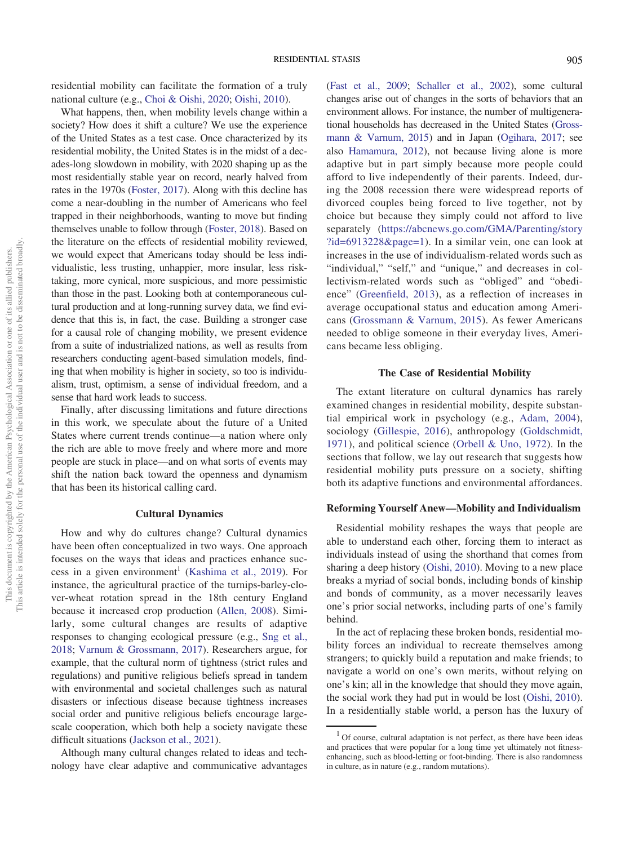residential mobility can facilitate the formation of a truly national culture (e.g., Choi & Oishi, 2020; Oishi, 2010).

What happens, then, when mobility levels change within a society? How does it shift a culture? We use the experience of the United States as a test case. Once characterized by its residential mobility, the United States is in the midst of a decades-long slowdown in mobility, with 2020 shaping up as the most residentially stable year on record, nearly halved from rates in the 1970s (Foster, 2017). Along with this decline has come a near-doubling in the number of Americans who feel trapped in their neighborhoods, wanting to move but finding themselves unable to follow through (Foster, 2018). Based on the literature on the effects of residential mobility reviewed, we would expect that Americans today should be less individualistic, less trusting, unhappier, more insular, less risktaking, more cynical, more suspicious, and more pessimistic than those in the past. Looking both at contemporaneous cultural production and at long-running survey data, we find evidence that this is, in fact, the case. Building a stronger case for a causal role of changing mobility, we present evidence from a suite of industrialized nations, as well as results from researchers conducting agent-based simulation models, finding that when mobility is higher in society, so too is individualism, trust, optimism, a sense of individual freedom, and a sense that hard work leads to success.

Finally, after discussing limitations and future directions in this work, we speculate about the future of a United States where current trends continue—a nation where only the rich are able to move freely and where more and more people are stuck in place—and on what sorts of events may shift the nation back toward the openness and dynamism that has been its historical calling card.

#### Cultural Dynamics

How and why do cultures change? Cultural dynamics have been often conceptualized in two ways. One approach focuses on the ways that ideas and practices enhance success in a given environment<sup>1</sup> (Kashima et al., 2019). For instance, the agricultural practice of the turnips-barley-clover-wheat rotation spread in the 18th century England because it increased crop production (Allen, 2008). Similarly, some cultural changes are results of adaptive responses to changing ecological pressure (e.g., Sng et al., 2018; Varnum & Grossmann, 2017). Researchers argue, for example, that the cultural norm of tightness (strict rules and regulations) and punitive religious beliefs spread in tandem with environmental and societal challenges such as natural disasters or infectious disease because tightness increases social order and punitive religious beliefs encourage largescale cooperation, which both help a society navigate these difficult situations (Jackson et al., 2021).

Although many cultural changes related to ideas and technology have clear adaptive and communicative advantages

(Fast et al., 2009; Schaller et al., 2002), some cultural changes arise out of changes in the sorts of behaviors that an environment allows. For instance, the number of multigenerational households has decreased in the United States (Grossmann & Varnum, 2015) and in Japan (Ogihara, 2017; see also Hamamura, 2012), not because living alone is more adaptive but in part simply because more people could afford to live independently of their parents. Indeed, during the 2008 recession there were widespread reports of divorced couples being forced to live together, not by choice but because they simply could not afford to live separately (https://abcnews.go.com/GMA/Parenting/story ?id=6913228&page=1). In a similar vein, one can look at increases in the use of individualism-related words such as "individual," "self," and "unique," and decreases in collectivism-related words such as "obliged" and "obedience" (Greenfield, 2013), as a reflection of increases in average occupational status and education among Americans (Grossmann & Varnum, 2015). As fewer Americans needed to oblige someone in their everyday lives, Americans became less obliging.

# The Case of Residential Mobility

The extant literature on cultural dynamics has rarely examined changes in residential mobility, despite substantial empirical work in psychology (e.g., Adam, 2004), sociology (Gillespie, 2016), anthropology (Goldschmidt, 1971), and political science (Orbell & Uno, 1972). In the sections that follow, we lay out research that suggests how residential mobility puts pressure on a society, shifting both its adaptive functions and environmental affordances.

#### Reforming Yourself Anew—Mobility and Individualism

Residential mobility reshapes the ways that people are able to understand each other, forcing them to interact as individuals instead of using the shorthand that comes from sharing a deep history (Oishi, 2010). Moving to a new place breaks a myriad of social bonds, including bonds of kinship and bonds of community, as a mover necessarily leaves one's prior social networks, including parts of one's family behind.

In the act of replacing these broken bonds, residential mobility forces an individual to recreate themselves among strangers; to quickly build a reputation and make friends; to navigate a world on one's own merits, without relying on one's kin; all in the knowledge that should they move again, the social work they had put in would be lost (Oishi, 2010). In a residentially stable world, a person has the luxury of

<sup>&</sup>lt;sup>1</sup> Of course, cultural adaptation is not perfect, as there have been ideas and practices that were popular for a long time yet ultimately not fitnessenhancing, such as blood-letting or foot-binding. There is also randomness in culture, as in nature (e.g., random mutations).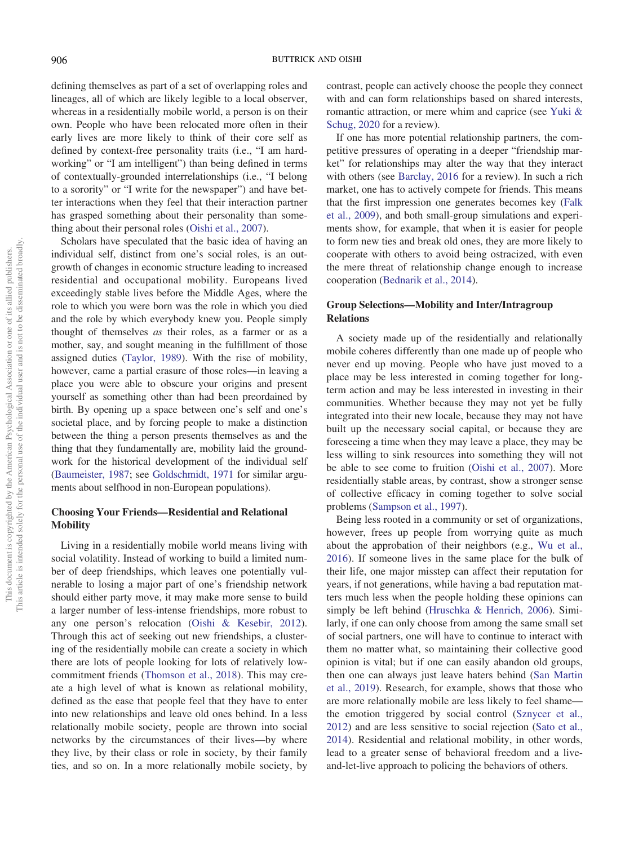defining themselves as part of a set of overlapping roles and lineages, all of which are likely legible to a local observer, whereas in a residentially mobile world, a person is on their own. People who have been relocated more often in their early lives are more likely to think of their core self as defined by context-free personality traits (i.e., "I am hardworking" or "I am intelligent") than being defined in terms of contextually-grounded interrelationships (i.e., "I belong to a sorority" or "I write for the newspaper") and have better interactions when they feel that their interaction partner has grasped something about their personality than something about their personal roles (Oishi et al., 2007).

Scholars have speculated that the basic idea of having an individual self, distinct from one's social roles, is an outgrowth of changes in economic structure leading to increased residential and occupational mobility. Europeans lived exceedingly stable lives before the Middle Ages, where the role to which you were born was the role in which you died and the role by which everybody knew you. People simply thought of themselves *as* their roles, as a farmer or as a mother, say, and sought meaning in the fulfillment of those assigned duties (Taylor, 1989). With the rise of mobility, however, came a partial erasure of those roles—in leaving a place you were able to obscure your origins and present yourself as something other than had been preordained by birth. By opening up a space between one's self and one's societal place, and by forcing people to make a distinction between the thing a person presents themselves as and the thing that they fundamentally are, mobility laid the groundwork for the historical development of the individual self (Baumeister, 1987; see Goldschmidt, 1971 for similar arguments about selfhood in non-European populations).

# Choosing Your Friends—Residential and Relational **Mobility**

Living in a residentially mobile world means living with social volatility. Instead of working to build a limited number of deep friendships, which leaves one potentially vulnerable to losing a major part of one's friendship network should either party move, it may make more sense to build a larger number of less-intense friendships, more robust to any one person's relocation (Oishi & Kesebir, 2012). Through this act of seeking out new friendships, a clustering of the residentially mobile can create a society in which there are lots of people looking for lots of relatively lowcommitment friends (Thomson et al., 2018). This may create a high level of what is known as relational mobility, defined as the ease that people feel that they have to enter into new relationships and leave old ones behind. In a less relationally mobile society, people are thrown into social networks by the circumstances of their lives—by where they live, by their class or role in society, by their family ties, and so on. In a more relationally mobile society, by contrast, people can actively choose the people they connect with and can form relationships based on shared interests, romantic attraction, or mere whim and caprice (see Yuki & Schug, 2020 for a review).

If one has more potential relationship partners, the competitive pressures of operating in a deeper "friendship market" for relationships may alter the way that they interact with others (see Barclay, 2016 for a review). In such a rich market, one has to actively compete for friends. This means that the first impression one generates becomes key (Falk et al., 2009), and both small-group simulations and experiments show, for example, that when it is easier for people to form new ties and break old ones, they are more likely to cooperate with others to avoid being ostracized, with even the mere threat of relationship change enough to increase cooperation (Bednarik et al., 2014).

#### Group Selections—Mobility and Inter/Intragroup Relations

A society made up of the residentially and relationally mobile coheres differently than one made up of people who never end up moving. People who have just moved to a place may be less interested in coming together for longterm action and may be less interested in investing in their communities. Whether because they may not yet be fully integrated into their new locale, because they may not have built up the necessary social capital, or because they are foreseeing a time when they may leave a place, they may be less willing to sink resources into something they will not be able to see come to fruition (Oishi et al., 2007). More residentially stable areas, by contrast, show a stronger sense of collective efficacy in coming together to solve social problems (Sampson et al., 1997).

Being less rooted in a community or set of organizations, however, frees up people from worrying quite as much about the approbation of their neighbors (e.g., Wu et al., 2016). If someone lives in the same place for the bulk of their life, one major misstep can affect their reputation for years, if not generations, while having a bad reputation matters much less when the people holding these opinions can simply be left behind (Hruschka & Henrich, 2006). Similarly, if one can only choose from among the same small set of social partners, one will have to continue to interact with them no matter what, so maintaining their collective good opinion is vital; but if one can easily abandon old groups, then one can always just leave haters behind (San Martin et al., 2019). Research, for example, shows that those who are more relationally mobile are less likely to feel shame the emotion triggered by social control (Sznycer et al., 2012) and are less sensitive to social rejection (Sato et al., 2014). Residential and relational mobility, in other words, lead to a greater sense of behavioral freedom and a liveand-let-live approach to policing the behaviors of others.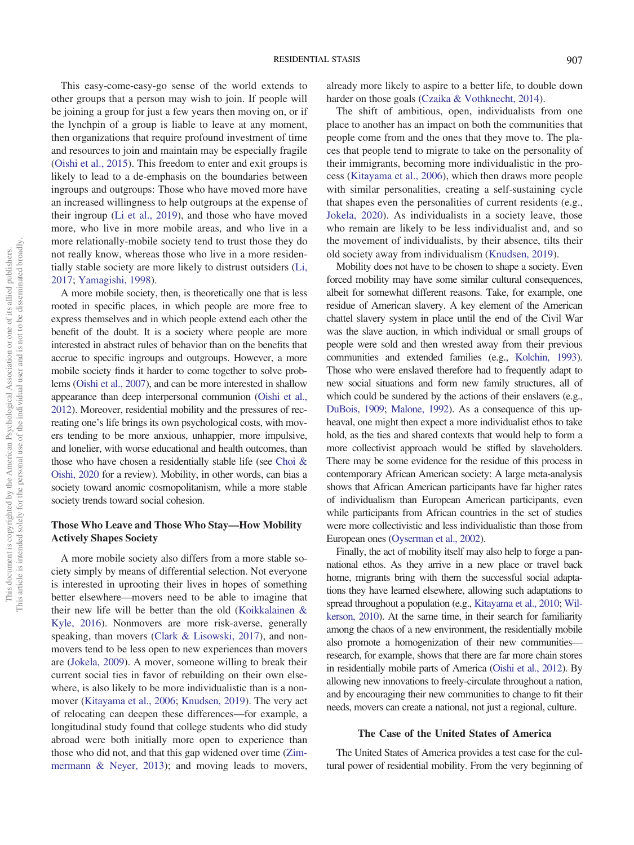This easy-come-easy-go sense of the world extends to other groups that a person may wish to join. If people will be joining a group for just a few years then moving on, or if the lynchpin of a group is liable to leave at any moment, then organizations that require profound investment of time and resources to join and maintain may be especially fragile (Oishi et al., 2015). This freedom to enter and exit groups is likely to lead to a de-emphasis on the boundaries between ingroups and outgroups: Those who have moved more have an increased willingness to help outgroups at the expense of their ingroup (Li et al., 2019), and those who have moved more, who live in more mobile areas, and who live in a more relationally-mobile society tend to trust those they do not really know, whereas those who live in a more residentially stable society are more likely to distrust outsiders (Li, 2017; Yamagishi, 1998).

A more mobile society, then, is theoretically one that is less rooted in specific places, in which people are more free to express themselves and in which people extend each other the benefit of the doubt. It is a society where people are more interested in abstract rules of behavior than on the benefits that accrue to specific ingroups and outgroups. However, a more mobile society finds it harder to come together to solve problems (Oishi et al., 2007), and can be more interested in shallow appearance than deep interpersonal communion (Oishi et al., 2012). Moreover, residential mobility and the pressures of recreating one's life brings its own psychological costs, with movers tending to be more anxious, unhappier, more impulsive, and lonelier, with worse educational and health outcomes, than those who have chosen a residentially stable life (see Choi & Oishi, 2020 for a review). Mobility, in other words, can bias a society toward anomic cosmopolitanism, while a more stable society trends toward social cohesion.

# Those Who Leave and Those Who Stay—How Mobility Actively Shapes Society

A more mobile society also differs from a more stable society simply by means of differential selection. Not everyone is interested in uprooting their lives in hopes of something better elsewhere—movers need to be able to imagine that their new life will be better than the old (Koikkalainen & Kyle, 2016). Nonmovers are more risk-averse, generally speaking, than movers (Clark & Lisowski, 2017), and nonmovers tend to be less open to new experiences than movers are (Jokela, 2009). A mover, someone willing to break their current social ties in favor of rebuilding on their own elsewhere, is also likely to be more individualistic than is a nonmover (Kitayama et al., 2006; Knudsen, 2019). The very act of relocating can deepen these differences—for example, a longitudinal study found that college students who did study abroad were both initially more open to experience than those who did not, and that this gap widened over time (Zimmermann & Neyer, 2013); and moving leads to movers, already more likely to aspire to a better life, to double down harder on those goals (Czaika & Vothknecht, 2014).

The shift of ambitious, open, individualists from one place to another has an impact on both the communities that people come from and the ones that they move to. The places that people tend to migrate to take on the personality of their immigrants, becoming more individualistic in the process (Kitayama et al., 2006), which then draws more people with similar personalities, creating a self-sustaining cycle that shapes even the personalities of current residents (e.g., Jokela, 2020). As individualists in a society leave, those who remain are likely to be less individualist and, and so the movement of individualists, by their absence, tilts their old society away from individualism (Knudsen, 2019).

Mobility does not have to be chosen to shape a society. Even forced mobility may have some similar cultural consequences, albeit for somewhat different reasons. Take, for example, one residue of American slavery. A key element of the American chattel slavery system in place until the end of the Civil War was the slave auction, in which individual or small groups of people were sold and then wrested away from their previous communities and extended families (e.g., Kolchin, 1993). Those who were enslaved therefore had to frequently adapt to new social situations and form new family structures, all of which could be sundered by the actions of their enslavers (e.g., DuBois, 1909; Malone, 1992). As a consequence of this upheaval, one might then expect a more individualist ethos to take hold, as the ties and shared contexts that would help to form a more collectivist approach would be stifled by slaveholders. There may be some evidence for the residue of this process in contemporary African American society: A large meta-analysis shows that African American participants have far higher rates of individualism than European American participants, even while participants from African countries in the set of studies were more collectivistic and less individualistic than those from European ones (Oyserman et al., 2002).

Finally, the act of mobility itself may also help to forge a pannational ethos. As they arrive in a new place or travel back home, migrants bring with them the successful social adaptations they have learned elsewhere, allowing such adaptations to spread throughout a population (e.g., Kitayama et al., 2010; Wilkerson, 2010). At the same time, in their search for familiarity among the chaos of a new environment, the residentially mobile also promote a homogenization of their new communities research, for example, shows that there are far more chain stores in residentially mobile parts of America (Oishi et al., 2012). By allowing new innovations to freely-circulate throughout a nation, and by encouraging their new communities to change to fit their needs, movers can create a national, not just a regional, culture.

#### The Case of the United States of America

The United States of America provides a test case for the cultural power of residential mobility. From the very beginning of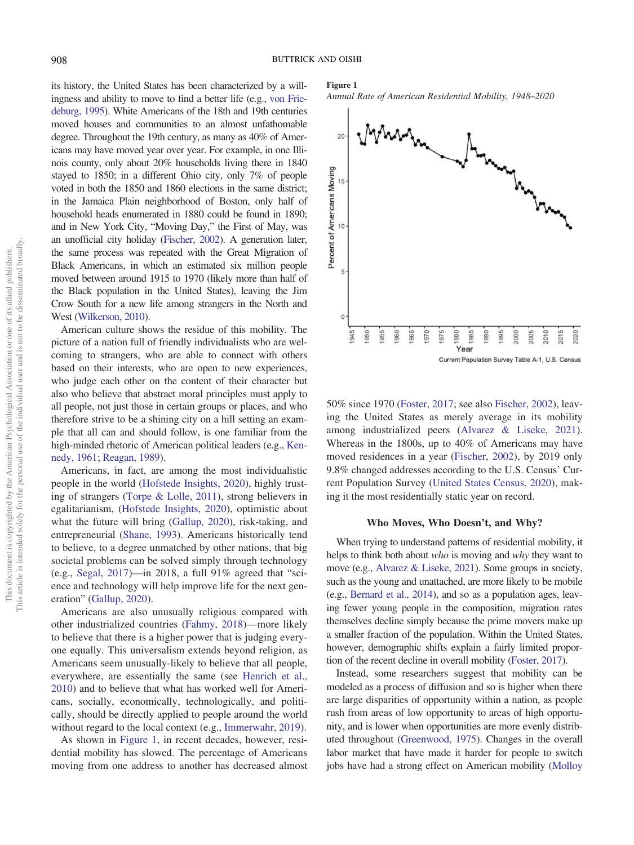its history, the United States has been characterized by a willingness and ability to move to find a better life (e.g., von Friedeburg, 1995). White Americans of the 18th and 19th centuries moved houses and communities to an almost unfathomable degree. Throughout the 19th century, as many as 40% of Americans may have moved year over year. For example, in one Illinois county, only about 20% households living there in 1840 stayed to 1850; in a different Ohio city, only 7% of people voted in both the 1850 and 1860 elections in the same district; in the Jamaica Plain neighborhood of Boston, only half of household heads enumerated in 1880 could be found in 1890; and in New York City, "Moving Day," the First of May, was an unofficial city holiday (Fischer, 2002). A generation later, the same process was repeated with the Great Migration of Black Americans, in which an estimated six million people moved between around 1915 to 1970 (likely more than half of the Black population in the United States), leaving the Jim Crow South for a new life among strangers in the North and West (Wilkerson, 2010).

American culture shows the residue of this mobility. The picture of a nation full of friendly individualists who are welcoming to strangers, who are able to connect with others based on their interests, who are open to new experiences, who judge each other on the content of their character but also who believe that abstract moral principles must apply to all people, not just those in certain groups or places, and who therefore strive to be a shining city on a hill setting an example that all can and should follow, is one familiar from the high-minded rhetoric of American political leaders (e.g., Kennedy, 1961; Reagan, 1989).

Americans, in fact, are among the most individualistic people in the world (Hofstede Insights, 2020), highly trusting of strangers (Torpe & Lolle, 2011), strong believers in egalitarianism, (Hofstede Insights, 2020), optimistic about what the future will bring (Gallup, 2020), risk-taking, and entrepreneurial (Shane, 1993). Americans historically tend to believe, to a degree unmatched by other nations, that big societal problems can be solved simply through technology (e.g., Segal, 2017)—in 2018, a full 91% agreed that "science and technology will help improve life for the next generation" (Gallup, 2020).

Americans are also unusually religious compared with other industrialized countries (Fahmy, 2018)—more likely to believe that there is a higher power that is judging everyone equally. This universalism extends beyond religion, as Americans seem unusually-likely to believe that all people, everywhere, are essentially the same (see Henrich et al., 2010) and to believe that what has worked well for Americans, socially, economically, technologically, and politically, should be directly applied to people around the world without regard to the local context (e.g., Immerwahr, 2019).

As shown in Figure 1, in recent decades, however, residential mobility has slowed. The percentage of Americans moving from one address to another has decreased almost

#### Figure 1

*Annual Rate of American Residential Mobility, 1948*–*2020*



50% since 1970 (Foster, 2017; see also Fischer, 2002), leaving the United States as merely average in its mobility among industrialized peers (Alvarez & Liseke, 2021). Whereas in the 1800s, up to 40% of Americans may have moved residences in a year (Fischer, 2002), by 2019 only 9.8% changed addresses according to the U.S. Census' Current Population Survey (United States Census, 2020), making it the most residentially static year on record.

#### Who Moves, Who Doesn't, and Why?

When trying to understand patterns of residential mobility, it helps to think both about *who* is moving and *why* they want to move (e.g., Alvarez & Liseke, 2021). Some groups in society, such as the young and unattached, are more likely to be mobile (e.g., Bernard et al., 2014), and so as a population ages, leaving fewer young people in the composition, migration rates themselves decline simply because the prime movers make up a smaller fraction of the population. Within the United States, however, demographic shifts explain a fairly limited proportion of the recent decline in overall mobility (Foster, 2017).

Instead, some researchers suggest that mobility can be modeled as a process of diffusion and so is higher when there are large disparities of opportunity within a nation, as people rush from areas of low opportunity to areas of high opportunity, and is lower when opportunities are more evenly distributed throughout (Greenwood, 1975). Changes in the overall labor market that have made it harder for people to switch jobs have had a strong effect on American mobility (Molloy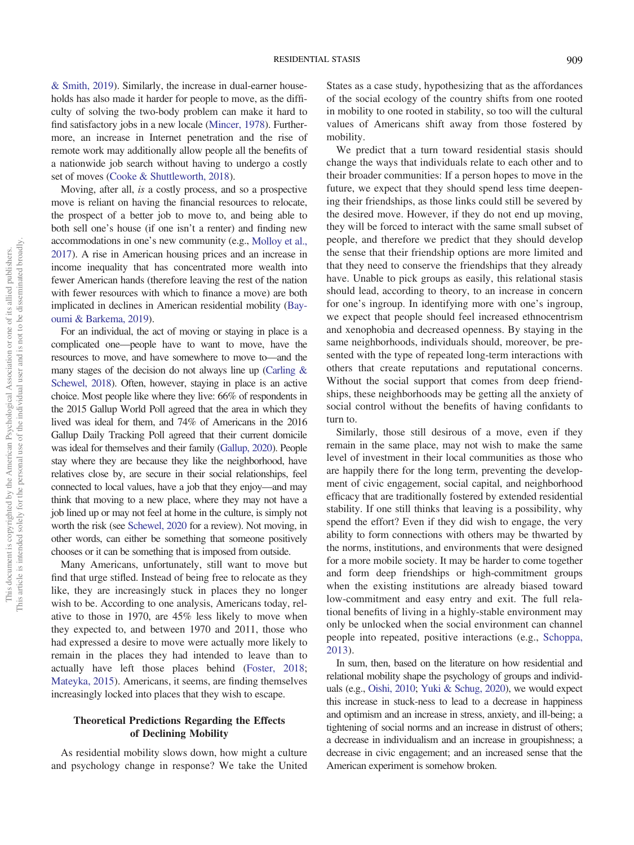& Smith, 2019). Similarly, the increase in dual-earner households has also made it harder for people to move, as the difficulty of solving the two-body problem can make it hard to find satisfactory jobs in a new locale (Mincer, 1978). Furthermore, an increase in Internet penetration and the rise of remote work may additionally allow people all the benefits of a nationwide job search without having to undergo a costly set of moves (Cooke & Shuttleworth, 2018).

Moving, after all, *is* a costly process, and so a prospective move is reliant on having the financial resources to relocate, the prospect of a better job to move to, and being able to both sell one's house (if one isn't a renter) and finding new accommodations in one's new community (e.g., Molloy et al., 2017). A rise in American housing prices and an increase in income inequality that has concentrated more wealth into fewer American hands (therefore leaving the rest of the nation with fewer resources with which to finance a move) are both implicated in declines in American residential mobility (Bayoumi & Barkema, 2019).

For an individual, the act of moving or staying in place is a complicated one—people have to want to move, have the resources to move, and have somewhere to move to—and the many stages of the decision do not always line up (Carling & Schewel, 2018). Often, however, staying in place is an active choice. Most people like where they live: 66% of respondents in the 2015 Gallup World Poll agreed that the area in which they lived was ideal for them, and 74% of Americans in the 2016 Gallup Daily Tracking Poll agreed that their current domicile was ideal for themselves and their family (Gallup, 2020). People stay where they are because they like the neighborhood, have relatives close by, are secure in their social relationships, feel connected to local values, have a job that they enjoy—and may think that moving to a new place, where they may not have a job lined up or may not feel at home in the culture, is simply not worth the risk (see Schewel, 2020 for a review). Not moving, in other words, can either be something that someone positively chooses or it can be something that is imposed from outside.

Many Americans, unfortunately, still want to move but find that urge stifled. Instead of being free to relocate as they like, they are increasingly stuck in places they no longer wish to be. According to one analysis, Americans today, relative to those in 1970, are 45% less likely to move when they expected to, and between 1970 and 2011, those who had expressed a desire to move were actually more likely to remain in the places they had intended to leave than to actually have left those places behind (Foster, 2018; Mateyka, 2015). Americans, it seems, are finding themselves increasingly locked into places that they wish to escape.

# Theoretical Predictions Regarding the Effects of Declining Mobility

As residential mobility slows down, how might a culture and psychology change in response? We take the United

States as a case study, hypothesizing that as the affordances of the social ecology of the country shifts from one rooted in mobility to one rooted in stability, so too will the cultural values of Americans shift away from those fostered by mobility.

We predict that a turn toward residential stasis should change the ways that individuals relate to each other and to their broader communities: If a person hopes to move in the future, we expect that they should spend less time deepening their friendships, as those links could still be severed by the desired move. However, if they do not end up moving, they will be forced to interact with the same small subset of people, and therefore we predict that they should develop the sense that their friendship options are more limited and that they need to conserve the friendships that they already have. Unable to pick groups as easily, this relational stasis should lead, according to theory, to an increase in concern for one's ingroup. In identifying more with one's ingroup, we expect that people should feel increased ethnocentrism and xenophobia and decreased openness. By staying in the same neighborhoods, individuals should, moreover, be presented with the type of repeated long-term interactions with others that create reputations and reputational concerns. Without the social support that comes from deep friendships, these neighborhoods may be getting all the anxiety of social control without the benefits of having confidants to turn to.

Similarly, those still desirous of a move, even if they remain in the same place, may not wish to make the same level of investment in their local communities as those who are happily there for the long term, preventing the development of civic engagement, social capital, and neighborhood efficacy that are traditionally fostered by extended residential stability. If one still thinks that leaving is a possibility, why spend the effort? Even if they did wish to engage, the very ability to form connections with others may be thwarted by the norms, institutions, and environments that were designed for a more mobile society. It may be harder to come together and form deep friendships or high-commitment groups when the existing institutions are already biased toward low-commitment and easy entry and exit. The full relational benefits of living in a highly-stable environment may only be unlocked when the social environment can channel people into repeated, positive interactions (e.g., Schoppa, 2013).

In sum, then, based on the literature on how residential and relational mobility shape the psychology of groups and individuals (e.g., Oishi, 2010; Yuki & Schug, 2020), we would expect this increase in stuck-ness to lead to a decrease in happiness and optimism and an increase in stress, anxiety, and ill-being; a tightening of social norms and an increase in distrust of others; a decrease in individualism and an increase in groupishness; a decrease in civic engagement; and an increased sense that the American experiment is somehow broken.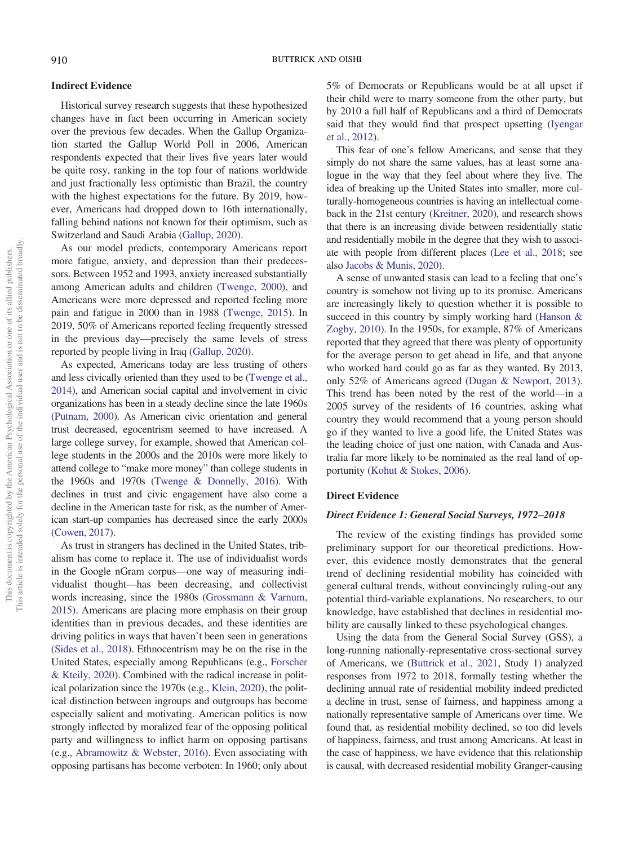#### Indirect Evidence

Historical survey research suggests that these hypothesized changes have in fact been occurring in American society over the previous few decades. When the Gallup Organization started the Gallup World Poll in 2006, American respondents expected that their lives five years later would be quite rosy, ranking in the top four of nations worldwide and just fractionally less optimistic than Brazil, the country with the highest expectations for the future. By 2019, however, Americans had dropped down to 16th internationally, falling behind nations not known for their optimism, such as Switzerland and Saudi Arabia (Gallup, 2020).

As our model predicts, contemporary Americans report more fatigue, anxiety, and depression than their predecessors. Between 1952 and 1993, anxiety increased substantially among American adults and children (Twenge, 2000), and Americans were more depressed and reported feeling more pain and fatigue in 2000 than in 1988 (Twenge, 2015). In 2019, 50% of Americans reported feeling frequently stressed in the previous day—precisely the same levels of stress reported by people living in Iraq (Gallup, 2020).

As expected, Americans today are less trusting of others and less civically oriented than they used to be (Twenge et al., 2014), and American social capital and involvement in civic organizations has been in a steady decline since the late 1960s (Putnam, 2000). As American civic orientation and general trust decreased, egocentrism seemed to have increased. A large college survey, for example, showed that American college students in the 2000s and the 2010s were more likely to attend college to "make more money" than college students in the 1960s and 1970s (Twenge & Donnelly, 2016). With declines in trust and civic engagement have also come a decline in the American taste for risk, as the number of American start-up companies has decreased since the early 2000s (Cowen, 2017).

As trust in strangers has declined in the United States, tribalism has come to replace it. The use of individualist words in the Google nGram corpus—one way of measuring individualist thought—has been decreasing, and collectivist words increasing, since the 1980s (Grossmann & Varnum, 2015). Americans are placing more emphasis on their group identities than in previous decades, and these identities are driving politics in ways that haven't been seen in generations (Sides et al., 2018). Ethnocentrism may be on the rise in the United States, especially among Republicans (e.g., Forscher & Kteily, 2020). Combined with the radical increase in political polarization since the 1970s (e.g., Klein, 2020), the political distinction between ingroups and outgroups has become especially salient and motivating. American politics is now strongly inflected by moralized fear of the opposing political party and willingness to inflict harm on opposing partisans (e.g., Abramowitz & Webster, 2016). Even associating with opposing partisans has become verboten: In 1960; only about 5% of Democrats or Republicans would be at all upset if their child were to marry someone from the other party, but by 2010 a full half of Republicans and a third of Democrats said that they would find that prospect upsetting (Iyengar et al., 2012).

This fear of one's fellow Americans, and sense that they simply do not share the same values, has at least some analogue in the way that they feel about where they live. The idea of breaking up the United States into smaller, more culturally-homogeneous countries is having an intellectual comeback in the 21st century (Kreitner, 2020), and research shows that there is an increasing divide between residentially static and residentially mobile in the degree that they wish to associate with people from different places (Lee et al., 2018; see also Jacobs & Munis, 2020).

A sense of unwanted stasis can lead to a feeling that one's country is somehow not living up to its promise. Americans are increasingly likely to question whether it is possible to succeed in this country by simply working hard (Hanson & Zogby, 2010). In the 1950s, for example, 87% of Americans reported that they agreed that there was plenty of opportunity for the average person to get ahead in life, and that anyone who worked hard could go as far as they wanted. By 2013, only 52% of Americans agreed (Dugan & Newport, 2013). This trend has been noted by the rest of the world—in a 2005 survey of the residents of 16 countries, asking what country they would recommend that a young person should go if they wanted to live a good life, the United States was the leading choice of just one nation, with Canada and Australia far more likely to be nominated as the real land of opportunity (Kohut & Stokes, 2006).

#### Direct Evidence

#### Direct Evidence 1: General Social Surveys, 1972–2018

The review of the existing findings has provided some preliminary support for our theoretical predictions. However, this evidence mostly demonstrates that the general trend of declining residential mobility has coincided with general cultural trends, without convincingly ruling-out any potential third-variable explanations. No researchers, to our knowledge, have established that declines in residential mobility are causally linked to these psychological changes.

Using the data from the General Social Survey (GSS), a long-running nationally-representative cross-sectional survey of Americans, we (Buttrick et al., 2021, Study 1) analyzed responses from 1972 to 2018, formally testing whether the declining annual rate of residential mobility indeed predicted a decline in trust, sense of fairness, and happiness among a nationally representative sample of Americans over time. We found that, as residential mobility declined, so too did levels of happiness, fairness, and trust among Americans. At least in the case of happiness, we have evidence that this relationship is causal, with decreased residential mobility Granger-causing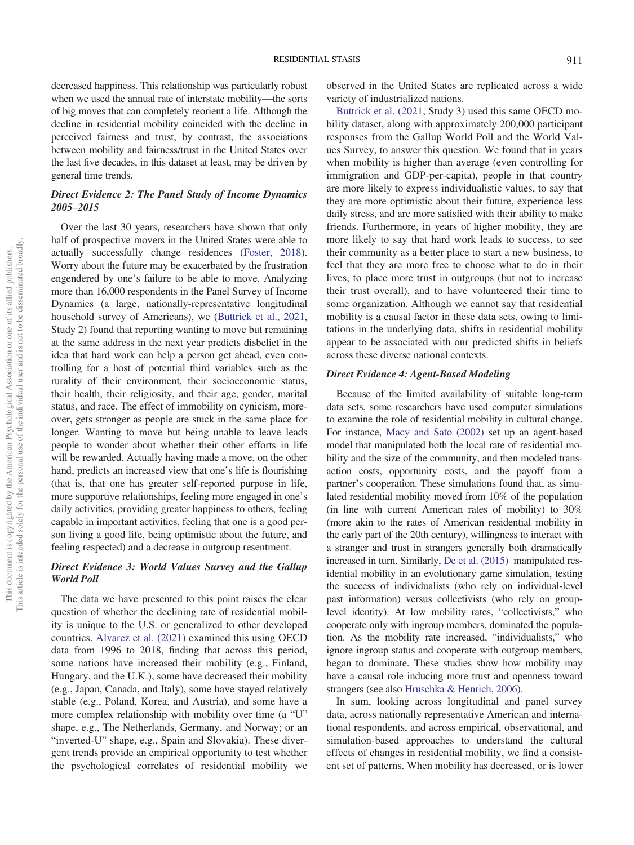decreased happiness. This relationship was particularly robust when we used the annual rate of interstate mobility—the sorts of big moves that can completely reorient a life. Although the decline in residential mobility coincided with the decline in perceived fairness and trust, by contrast, the associations between mobility and fairness/trust in the United States over the last five decades, in this dataset at least, may be driven by general time trends.

# Direct Evidence 2: The Panel Study of Income Dynamics 2005–2015

Over the last 30 years, researchers have shown that only half of prospective movers in the United States were able to actually successfully change residences (Foster, 2018). Worry about the future may be exacerbated by the frustration engendered by one's failure to be able to move. Analyzing more than 16,000 respondents in the Panel Survey of Income Dynamics (a large, nationally-representative longitudinal household survey of Americans), we (Buttrick et al., 2021, Study 2) found that reporting wanting to move but remaining at the same address in the next year predicts disbelief in the idea that hard work can help a person get ahead, even controlling for a host of potential third variables such as the rurality of their environment, their socioeconomic status, their health, their religiosity, and their age, gender, marital status, and race. The effect of immobility on cynicism, moreover, gets stronger as people are stuck in the same place for longer. Wanting to move but being unable to leave leads people to wonder about whether their other efforts in life will be rewarded. Actually having made a move, on the other hand, predicts an increased view that one's life is flourishing (that is, that one has greater self-reported purpose in life, more supportive relationships, feeling more engaged in one's daily activities, providing greater happiness to others, feeling capable in important activities, feeling that one is a good person living a good life, being optimistic about the future, and feeling respected) and a decrease in outgroup resentment.

# Direct Evidence 3: World Values Survey and the Gallup World Poll

The data we have presented to this point raises the clear question of whether the declining rate of residential mobility is unique to the U.S. or generalized to other developed countries. Alvarez et al. (2021) examined this using OECD data from 1996 to 2018, finding that across this period, some nations have increased their mobility (e.g., Finland, Hungary, and the U.K.), some have decreased their mobility (e.g., Japan, Canada, and Italy), some have stayed relatively stable (e.g., Poland, Korea, and Austria), and some have a more complex relationship with mobility over time (a "U" shape, e.g., The Netherlands, Germany, and Norway; or an "inverted-U" shape, e.g., Spain and Slovakia). These divergent trends provide an empirical opportunity to test whether the psychological correlates of residential mobility we observed in the United States are replicated across a wide variety of industrialized nations.

Buttrick et al. (2021, Study 3) used this same OECD mobility dataset, along with approximately 200,000 participant responses from the Gallup World Poll and the World Values Survey, to answer this question. We found that in years when mobility is higher than average (even controlling for immigration and GDP-per-capita), people in that country are more likely to express individualistic values, to say that they are more optimistic about their future, experience less daily stress, and are more satisfied with their ability to make friends. Furthermore, in years of higher mobility, they are more likely to say that hard work leads to success, to see their community as a better place to start a new business, to feel that they are more free to choose what to do in their lives, to place more trust in outgroups (but not to increase their trust overall), and to have volunteered their time to some organization. Although we cannot say that residential mobility is a causal factor in these data sets, owing to limitations in the underlying data, shifts in residential mobility appear to be associated with our predicted shifts in beliefs across these diverse national contexts.

#### Direct Evidence 4: Agent-Based Modeling

Because of the limited availability of suitable long-term data sets, some researchers have used computer simulations to examine the role of residential mobility in cultural change. For instance, Macy and Sato (2002) set up an agent-based model that manipulated both the local rate of residential mobility and the size of the community, and then modeled transaction costs, opportunity costs, and the payoff from a partner's cooperation. These simulations found that, as simulated residential mobility moved from 10% of the population (in line with current American rates of mobility) to 30% (more akin to the rates of American residential mobility in the early part of the 20th century), willingness to interact with a stranger and trust in strangers generally both dramatically increased in turn. Similarly, De et al. (2015) manipulated residential mobility in an evolutionary game simulation, testing the success of individualists (who rely on individual-level past information) versus collectivists (who rely on grouplevel identity). At low mobility rates, "collectivists," who cooperate only with ingroup members, dominated the population. As the mobility rate increased, "individualists," who ignore ingroup status and cooperate with outgroup members, began to dominate. These studies show how mobility may have a causal role inducing more trust and openness toward strangers (see also Hruschka & Henrich, 2006).

In sum, looking across longitudinal and panel survey data, across nationally representative American and international respondents, and across empirical, observational, and simulation-based approaches to understand the cultural effects of changes in residential mobility, we find a consistent set of patterns. When mobility has decreased, or is lower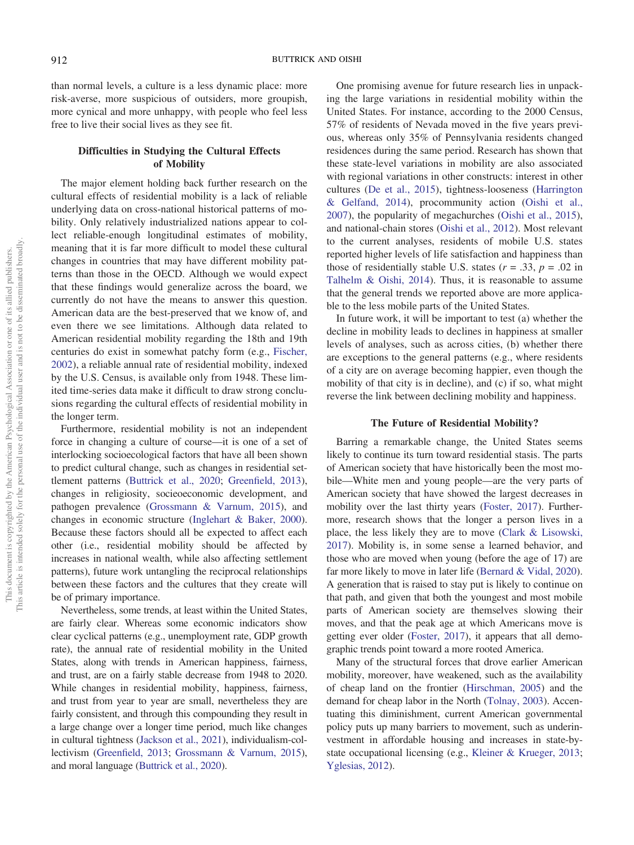than normal levels, a culture is a less dynamic place: more risk-averse, more suspicious of outsiders, more groupish, more cynical and more unhappy, with people who feel less free to live their social lives as they see fit.

# Difficulties in Studying the Cultural Effects of Mobility

The major element holding back further research on the cultural effects of residential mobility is a lack of reliable underlying data on cross-national historical patterns of mobility. Only relatively industrialized nations appear to collect reliable-enough longitudinal estimates of mobility, meaning that it is far more difficult to model these cultural changes in countries that may have different mobility patterns than those in the OECD. Although we would expect that these findings would generalize across the board, we currently do not have the means to answer this question. American data are the best-preserved that we know of, and even there we see limitations. Although data related to American residential mobility regarding the 18th and 19th centuries do exist in somewhat patchy form (e.g., Fischer, 2002), a reliable annual rate of residential mobility, indexed by the U.S. Census, is available only from 1948. These limited time-series data make it difficult to draw strong conclusions regarding the cultural effects of residential mobility in the longer term.

Furthermore, residential mobility is not an independent force in changing a culture of course—it is one of a set of interlocking socioecological factors that have all been shown to predict cultural change, such as changes in residential settlement patterns (Buttrick et al., 2020; Greenfield, 2013), changes in religiosity, socieoeconomic development, and pathogen prevalence (Grossmann & Varnum, 2015), and changes in economic structure (Inglehart & Baker, 2000). Because these factors should all be expected to affect each other (i.e., residential mobility should be affected by increases in national wealth, while also affecting settlement patterns), future work untangling the reciprocal relationships between these factors and the cultures that they create will be of primary importance.

Nevertheless, some trends, at least within the United States, are fairly clear. Whereas some economic indicators show clear cyclical patterns (e.g., unemployment rate, GDP growth rate), the annual rate of residential mobility in the United States, along with trends in American happiness, fairness, and trust, are on a fairly stable decrease from 1948 to 2020. While changes in residential mobility, happiness, fairness, and trust from year to year are small, nevertheless they are fairly consistent, and through this compounding they result in a large change over a longer time period, much like changes in cultural tightness (Jackson et al., 2021), individualism-collectivism (Greenfield, 2013; Grossmann & Varnum, 2015), and moral language (Buttrick et al., 2020).

One promising avenue for future research lies in unpacking the large variations in residential mobility within the United States. For instance, according to the 2000 Census, 57% of residents of Nevada moved in the five years previous, whereas only 35% of Pennsylvania residents changed residences during the same period. Research has shown that these state-level variations in mobility are also associated with regional variations in other constructs: interest in other cultures (De et al., 2015), tightness-looseness (Harrington & Gelfand, 2014), procommunity action (Oishi et al., 2007), the popularity of megachurches (Oishi et al., 2015), and national-chain stores (Oishi et al., 2012). Most relevant to the current analyses, residents of mobile U.S. states reported higher levels of life satisfaction and happiness than those of residentially stable U.S. states  $(r = .33, p = .02)$  in Talhelm & Oishi, 2014). Thus, it is reasonable to assume that the general trends we reported above are more applicable to the less mobile parts of the United States.

In future work, it will be important to test (a) whether the decline in mobility leads to declines in happiness at smaller levels of analyses, such as across cities, (b) whether there are exceptions to the general patterns (e.g., where residents of a city are on average becoming happier, even though the mobility of that city is in decline), and (c) if so, what might reverse the link between declining mobility and happiness.

#### The Future of Residential Mobility?

Barring a remarkable change, the United States seems likely to continue its turn toward residential stasis. The parts of American society that have historically been the most mobile—White men and young people—are the very parts of American society that have showed the largest decreases in mobility over the last thirty years (Foster, 2017). Furthermore, research shows that the longer a person lives in a place, the less likely they are to move (Clark & Lisowski, 2017). Mobility is, in some sense a learned behavior, and those who are moved when young (before the age of 17) are far more likely to move in later life (Bernard & Vidal, 2020). A generation that is raised to stay put is likely to continue on that path, and given that both the youngest and most mobile parts of American society are themselves slowing their moves, and that the peak age at which Americans move is getting ever older (Foster, 2017), it appears that all demographic trends point toward a more rooted America.

Many of the structural forces that drove earlier American mobility, moreover, have weakened, such as the availability of cheap land on the frontier (Hirschman, 2005) and the demand for cheap labor in the North (Tolnay, 2003). Accentuating this diminishment, current American governmental policy puts up many barriers to movement, such as underinvestment in affordable housing and increases in state-bystate occupational licensing (e.g., Kleiner & Krueger, 2013; Yglesias, 2012).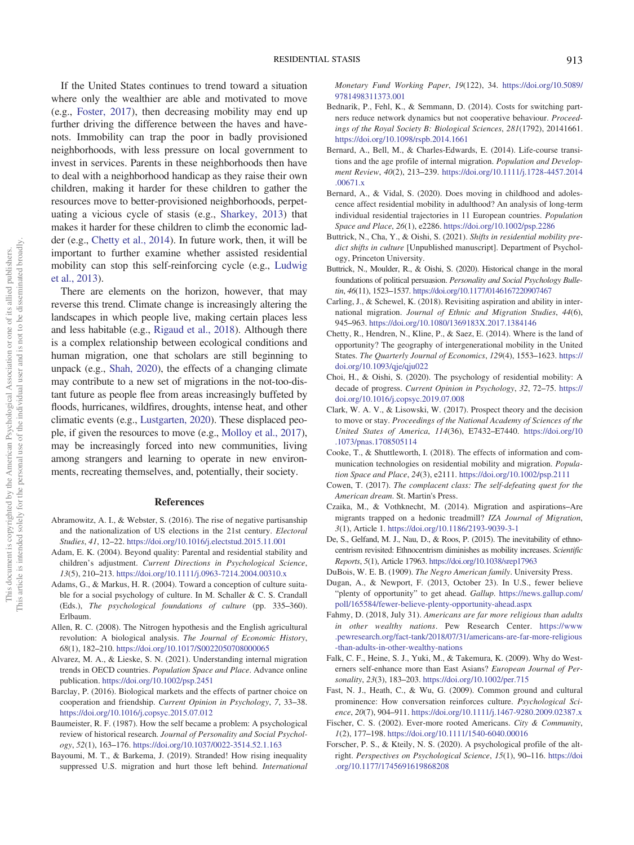If the United States continues to trend toward a situation where only the wealthier are able and motivated to move (e.g., Foster, 2017), then decreasing mobility may end up further driving the difference between the haves and havenots. Immobility can trap the poor in badly provisioned neighborhoods, with less pressure on local government to invest in services. Parents in these neighborhoods then have to deal with a neighborhood handicap as they raise their own children, making it harder for these children to gather the resources move to better-provisioned neighborhoods, perpetuating a vicious cycle of stasis (e.g., Sharkey, 2013) that makes it harder for these children to climb the economic ladder (e.g., Chetty et al., 2014). In future work, then, it will be important to further examine whether assisted residential mobility can stop this self-reinforcing cycle (e.g., Ludwig et al., 2013).

There are elements on the horizon, however, that may reverse this trend. Climate change is increasingly altering the landscapes in which people live, making certain places less and less habitable (e.g., Rigaud et al., 2018). Although there is a complex relationship between ecological conditions and human migration, one that scholars are still beginning to unpack (e.g., Shah, 2020), the effects of a changing climate may contribute to a new set of migrations in the not-too-distant future as people flee from areas increasingly buffeted by floods, hurricanes, wildfires, droughts, intense heat, and other climatic events (e.g., Lustgarten, 2020). These displaced people, if given the resources to move (e.g., Molloy et al., 2017), may be increasingly forced into new communities, living among strangers and learning to operate in new environments, recreating themselves, and, potentially, their society.

#### References

- Abramowitz, A. I., & Webster, S. (2016). The rise of negative partisanship and the nationalization of US elections in the 21st century. *Electoral Studies*, *41*, 12–22. https://doi.org/10.1016/j.electstud.2015.11.001
- Adam, E. K. (2004). Beyond quality: Parental and residential stability and children's adjustment. *Current Directions in Psychological Science*, *13*(5), 210–213. https://doi.org/10.1111/j.0963-7214.2004.00310.x
- Adams, G., & Markus, H. R. (2004). Toward a conception of culture suitable for a social psychology of culture. In M. Schaller & C. S. Crandall (Eds.), *The psychological foundations of culture* (pp. 335–360). Erlbaum.
- Allen, R. C. (2008). The Nitrogen hypothesis and the English agricultural revolution: A biological analysis. *The Journal of Economic History*, *68*(1), 182–210. https://doi.org/10.1017/S0022050708000065
- Alvarez, M. A., & Lieske, S. N. (2021). Understanding internal migration trends in OECD countries. *Population Space and Place*. Advance online publication. https://doi.org/10.1002/psp.2451
- Barclay, P. (2016). Biological markets and the effects of partner choice on cooperation and friendship. *Current Opinion in Psychology*, *7*, 33–38. https://doi.org/10.1016/j.copsyc.2015.07.012
- Baumeister, R. F. (1987). How the self became a problem: A psychological review of historical research. *Journal of Personality and Social Psychology*, *52*(1), 163–176. https://doi.org/10.1037/0022-3514.52.1.163
- Bayoumi, M. T., & Barkema, J. (2019). Stranded! How rising inequality suppressed U.S. migration and hurt those left behind. *International*

*Monetary Fund Working Paper*, *19*(122), 34. https://doi.org/10.5089/ 9781498311373.001

- Bednarik, P., Fehl, K., & Semmann, D. (2014). Costs for switching partners reduce network dynamics but not cooperative behaviour. *Proceedings of the Royal Society B: Biological Sciences*, *281*(1792), 20141661. https://doi.org/10.1098/rspb.2014.1661
- Bernard, A., Bell, M., & Charles-Edwards, E. (2014). Life-course transitions and the age profile of internal migration. *Population and Development Review*, *40*(2), 213–239. https://doi.org/10.1111/j.1728-4457.2014 .00671.x
- Bernard, A., & Vidal, S. (2020). Does moving in childhood and adolescence affect residential mobility in adulthood? An analysis of long-term individual residential trajectories in 11 European countries. *Population Space and Place*, *26*(1), e2286. https://doi.org/10.1002/psp.2286
- Buttrick, N., Cha, Y., & Oishi, S. (2021). *Shifts in residential mobility predict shifts in culture* [Unpublished manuscript]. Department of Psychology, Princeton University.
- Buttrick, N., Moulder, R., & Oishi, S. (2020). Historical change in the moral foundations of political persuasion. *Personality and Social Psychology Bulletin*, *46*(11), 1523–1537. https://doi.org/10.1177/0146167220907467
- Carling, J., & Schewel, K. (2018). Revisiting aspiration and ability in international migration. *Journal of Ethnic and Migration Studies*, *44*(6), 945–963. https://doi.org/10.1080/1369183X.2017.1384146
- Chetty, R., Hendren, N., Kline, P., & Saez, E. (2014). Where is the land of opportunity? The geography of intergenerational mobility in the United States. *The Quarterly Journal of Economics*, *129*(4), 1553–1623. https:// doi.org/10.1093/qje/qju022
- Choi, H., & Oishi, S. (2020). The psychology of residential mobility: A decade of progress. *Current Opinion in Psychology*, *32*, 72–75. https:// doi.org/10.1016/j.copsyc.2019.07.008
- Clark, W. A. V., & Lisowski, W. (2017). Prospect theory and the decision to move or stay. *Proceedings of the National Academy of Sciences of the United States of America*, *114*(36), E7432–E7440. https://doi.org/10 .1073/pnas.1708505114
- Cooke, T., & Shuttleworth, I. (2018). The effects of information and communication technologies on residential mobility and migration. *Population Space and Place*, *24*(3), e2111. https://doi.org/10.1002/psp.2111
- Cowen, T. (2017). *The complacent class: The self-defeating quest for the American dream*. St. Martin's Press.
- Czaika, M., & Vothknecht, M. (2014). Migration and aspirations–Are migrants trapped on a hedonic treadmill? *IZA Journal of Migration*, *3*(1), Article 1. https://doi.org/10.1186/2193-9039-3-1
- De, S., Gelfand, M. J., Nau, D., & Roos, P. (2015). The inevitability of ethnocentrism revisited: Ethnocentrism diminishes as mobility increases. *Scientific Reports*, *5*(1), Article 17963. https://doi.org/10.1038/srep17963
- DuBois, W. E. B. (1909). *The Negro American family*. University Press.
- Dugan, A., & Newport, F. (2013, October 23). In U.S., fewer believe "plenty of opportunity" to get ahead. *Gallup*. https://news.gallup.com/ poll/165584/fewer-believe-plenty-opportunity-ahead.aspx
- Fahmy, D. (2018, July 31). *Americans are far more religious than adults in other wealthy nations*. Pew Research Center. https://www .pewresearch.org/fact-tank/2018/07/31/americans-are-far-more-religious -than-adults-in-other-wealthy-nations
- Falk, C. F., Heine, S. J., Yuki, M., & Takemura, K. (2009). Why do Westerners self-enhance more than East Asians? *European Journal of Personality*, *23*(3), 183–203. https://doi.org/10.1002/per.715
- Fast, N. J., Heath, C., & Wu, G. (2009). Common ground and cultural prominence: How conversation reinforces culture. *Psychological Science*, *20*(7), 904–911. https://doi.org/10.1111/j.1467-9280.2009.02387.x
- Fischer, C. S. (2002). Ever-more rooted Americans. *City & Community*, *1*(2), 177–198. https://doi.org/10.1111/1540-6040.00016
- Forscher, P. S., & Kteily, N. S. (2020). A psychological profile of the altright. *Perspectives on Psychological Science*, *15*(1), 90–116. https://doi .org/10.1177/1745691619868208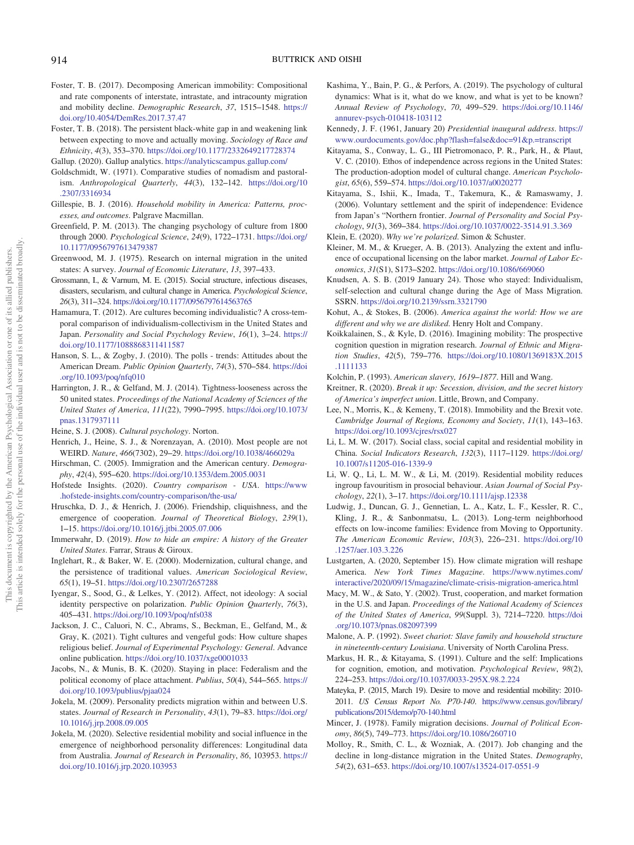- Foster, T. B. (2017). Decomposing American immobility: Compositional and rate components of interstate, intrastate, and intracounty migration and mobility decline. *Demographic Research*, *37*, 1515–1548. https:// doi.org/10.4054/DemRes.2017.37.47
- Foster, T. B. (2018). The persistent black-white gap in and weakening link between expecting to move and actually moving. *Sociology of Race and Ethnicity*, *4*(3), 353–370. https://doi.org/10.1177/2332649217728374
- Gallup. (2020). Gallup analytics. https://analyticscampus.gallup.com/
- Goldschmidt, W. (1971). Comparative studies of nomadism and pastoralism. *Anthropological Quarterly*, *44*(3), 132–142. https://doi.org/10 .2307/3316934
- Gillespie, B. J. (2016). *Household mobility in America: Patterns, processes, and outcomes*. Palgrave Macmillan.
- Greenfield, P. M. (2013). The changing psychology of culture from 1800 through 2000. *Psychological Science*, *24*(9), 1722–1731. https://doi.org/ 10.1177/0956797613479387
- Greenwood, M. J. (1975). Research on internal migration in the united states: A survey. *Journal of Economic Literature*, *13*, 397–433.
- Grossmann, I., & Varnum, M. E. (2015). Social structure, infectious diseases, disasters, secularism, and cultural change in America. *Psychological Science*, *26*(3), 311–324. https://doi.org/10.1177/0956797614563765
- Hamamura, T. (2012). Are cultures becoming individualistic? A cross-temporal comparison of individualism-collectivism in the United States and Japan. *Personality and Social Psychology Review*, *16*(1), 3–24. https:// doi.org/10.1177/1088868311411587
- Hanson, S. L., & Zogby, J. (2010). The polls trends: Attitudes about the American Dream. *Public Opinion Quarterly*, *74*(3), 570–584. https://doi .org/10.1093/poq/nfq010
- Harrington, J. R., & Gelfand, M. J. (2014). Tightness-looseness across the 50 united states. *Proceedings of the National Academy of Sciences of the United States of America*, *111*(22), 7990–7995. https://doi.org/10.1073/ pnas.1317937111
- Heine, S. J. (2008). *Cultural psychology*. Norton.
- Henrich, J., Heine, S. J., & Norenzayan, A. (2010). Most people are not WEIRD. *Nature*, *466*(7302), 29–29. https://doi.org/10.1038/466029a
- Hirschman, C. (2005). Immigration and the American century. *Demography*, *42*(4), 595–620. https://doi.org/10.1353/dem.2005.0031
- Hofstede Insights. (2020). *Country comparison USA*. https://www .hofstede-insights.com/country-comparison/the-usa/
- Hruschka, D. J., & Henrich, J. (2006). Friendship, cliquishness, and the emergence of cooperation. *Journal of Theoretical Biology*, *239*(1), 1–15. https://doi.org/10.1016/j.jtbi.2005.07.006
- Immerwahr, D. (2019). *How to hide an empire: A history of the Greater United States*. Farrar, Straus & Giroux.
- Inglehart, R., & Baker, W. E. (2000). Modernization, cultural change, and the persistence of traditional values. *American Sociological Review*, *65*(1), 19–51. https://doi.org/10.2307/2657288
- Iyengar, S., Sood, G., & Lelkes, Y. (2012). Affect, not ideology: A social identity perspective on polarization. *Public Opinion Quarterly*, *76*(3), 405–431. https://doi.org/10.1093/poq/nfs038
- Jackson, J. C., Caluori, N. C., Abrams, S., Beckman, E., Gelfand, M., & Gray, K. (2021). Tight cultures and vengeful gods: How culture shapes religious belief. *Journal of Experimental Psychology: General*. Advance online publication. https://doi.org/10.1037/xge0001033
- Jacobs, N., & Munis, B. K. (2020). Staying in place: Federalism and the political economy of place attachment. *Publius*, *50*(4), 544–565. https:// doi.org/10.1093/publius/pjaa024
- Jokela, M. (2009). Personality predicts migration within and between U.S. states. *Journal of Research in Personality*, *43*(1), 79–83. https://doi.org/ 10.1016/j.jrp.2008.09.005
- Jokela, M. (2020). Selective residential mobility and social influence in the emergence of neighborhood personality differences: Longitudinal data from Australia. *Journal of Research in Personality*, *86*, 103953. https:// doi.org/10.1016/j.jrp.2020.103953
- Kashima, Y., Bain, P. G., & Perfors, A. (2019). The psychology of cultural dynamics: What is it, what do we know, and what is yet to be known? *Annual Review of Psychology*, *70*, 499–529. https://doi.org/10.1146/ annurev-psych-010418-103112
- Kennedy, J. F. (1961, January 20) *Presidential inaugural address*. https:// www.ourdocuments.gov/doc.php?flash=false&doc=91&p.=transcript
- Kitayama, S., Conway, L. G., III Pietromonaco, P. R., Park, H., & Plaut, V. C. (2010). Ethos of independence across regions in the United States: The production-adoption model of cultural change. *American Psychologist*, *65*(6), 559–574. https://doi.org/10.1037/a0020277
- Kitayama, S., Ishii, K., Imada, T., Takemura, K., & Ramaswamy, J. (2006). Voluntary settlement and the spirit of independence: Evidence from Japan's "Northern frontier. *Journal of Personality and Social Psychology*, *91*(3), 369–384. https://doi.org/10.1037/0022-3514.91.3.369
- Klein, E. (2020). *Why we*'*re polarized*. Simon & Schuster.
- Kleiner, M. M., & Krueger, A. B. (2013). Analyzing the extent and influence of occupational licensing on the labor market. *Journal of Labor Economics*, *31*(S1), S173–S202. https://doi.org/10.1086/669060
- Knudsen, A. S. B. (2019 January 24). Those who stayed: Individualism, self-selection and cultural change during the Age of Mass Migration. SSRN. https://doi.org/10.2139/ssrn.3321790
- Kohut, A., & Stokes, B. (2006). *America against the world: How we are different and why we are disliked*. Henry Holt and Company.
- Koikkalainen, S., & Kyle, D. (2016). Imagining mobility: The prospective cognition question in migration research. *Journal of Ethnic and Migration Studies*, *42*(5), 759–776. https://doi.org/10.1080/1369183X.2015 .1111133
- Kolchin, P. (1993). *American slavery, 1619*–*1877*. Hill and Wang.
- Kreitner, R. (2020). *Break it up: Secession, division, and the secret history of America*'*s imperfect union*. Little, Brown, and Company.
- Lee, N., Morris, K., & Kemeny, T. (2018). Immobility and the Brexit vote. *Cambridge Journal of Regions, Economy and Society*, *11*(1), 143–163. https://doi.org/10.1093/cires/rsx027
- Li, L. M. W. (2017). Social class, social capital and residential mobility in China. *Social Indicators Research*, *132*(3), 1117–1129. https://doi.org/ 10.1007/s11205-016-1339-9
- Li, W. Q., Li, L. M. W., & Li, M. (2019). Residential mobility reduces ingroup favouritism in prosocial behaviour. *Asian Journal of Social Psychology*, *22*(1), 3–17. https://doi.org/10.1111/ajsp.12338
- Ludwig, J., Duncan, G. J., Gennetian, L. A., Katz, L. F., Kessler, R. C., Kling, J. R., & Sanbonmatsu, L. (2013). Long-term neighborhood effects on low-income families: Evidence from Moving to Opportunity. *The American Economic Review*, *103*(3), 226–231. https://doi.org/10 .1257/aer.103.3.226
- Lustgarten, A. (2020, September 15). How climate migration will reshape America. *New York Times Magazine*. https://www.nytimes.com/ interactive/2020/09/15/magazine/climate-crisis-migration-america.html
- Macy, M. W., & Sato, Y. (2002). Trust, cooperation, and market formation in the U.S. and Japan. *Proceedings of the National Academy of Sciences of the United States of America*, *99*(Suppl. 3), 7214–7220. https://doi .org/10.1073/pnas.082097399
- Malone, A. P. (1992). *Sweet chariot: Slave family and household structure in nineteenth-century Louisiana*. University of North Carolina Press.
- Markus, H. R., & Kitayama, S. (1991). Culture and the self: Implications for cognition, emotion, and motivation. *Psychological Review*, *98*(2), 224–253. https://doi.org/10.1037/0033-295X.98.2.224
- Mateyka, P. (2015, March 19). Desire to move and residential mobility: 2010- 2011. *US Census Report No. P70-140*. https://www.census.gov/library/ publications/2015/demo/p70-140.html
- Mincer, J. (1978). Family migration decisions. *Journal of Political Economy*, *86*(5), 749–773. https://doi.org/10.1086/260710
- Molloy, R., Smith, C. L., & Wozniak, A. (2017). Job changing and the decline in long-distance migration in the United States. *Demography*, *54*(2), 631–653. https://doi.org/10.1007/s13524-017-0551-9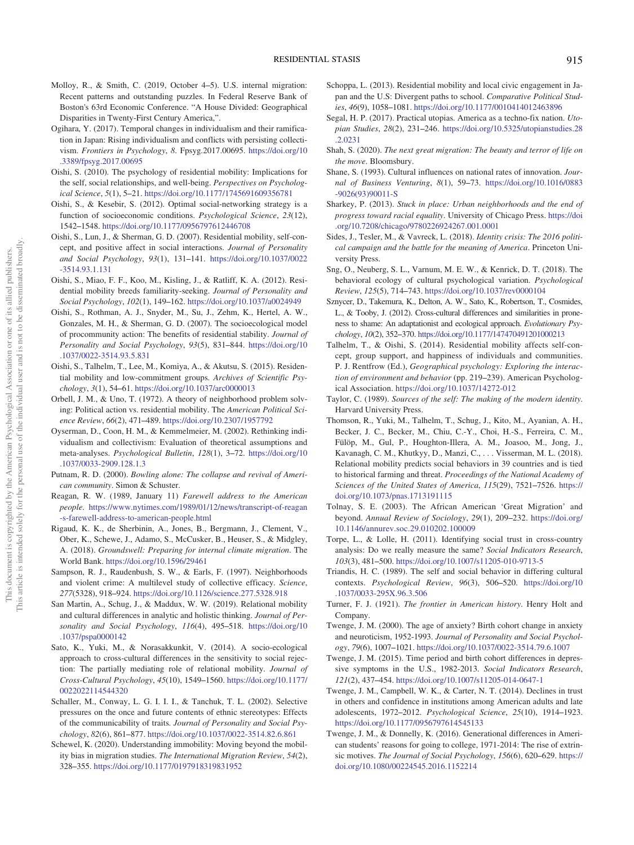- Molloy, R., & Smith, C. (2019, October 4–5). U.S. internal migration: Recent patterns and outstanding puzzles. In Federal Reserve Bank of Boston's 63rd Economic Conference. "A House Divided: Geographical Disparities in Twenty-First Century America,".
- Ogihara, Y. (2017). Temporal changes in individualism and their ramification in Japan: Rising individualism and conflicts with persisting collectivism. *Frontiers in Psychology*, *8*. Fpsyg.2017.00695. https://doi.org/10 .3389/fpsyg.2017.00695
- Oishi, S. (2010). The psychology of residential mobility: Implications for the self, social relationships, and well-being. *Perspectives on Psychological Science*, *5*(1), 5–21. https://doi.org/10.1177/1745691609356781
- Oishi, S., & Kesebir, S. (2012). Optimal social-networking strategy is a function of socioeconomic conditions. *Psychological Science*, *23*(12), 1542–1548. https://doi.org/10.1177/0956797612446708
- Oishi, S., Lun, J., & Sherman, G. D. (2007). Residential mobility, self-concept, and positive affect in social interactions. *Journal of Personality and Social Psychology*, *93*(1), 131–141. https://doi.org/10.1037/0022 -3514.93.1.131
- Oishi, S., Miao, F. F., Koo, M., Kisling, J., & Ratliff, K. A. (2012). Residential mobility breeds familiarity-seeking. *Journal of Personality and Social Psychology*, *102*(1), 149–162. https://doi.org/10.1037/a0024949
- Oishi, S., Rothman, A. J., Snyder, M., Su, J., Zehm, K., Hertel, A. W., Gonzales, M. H., & Sherman, G. D. (2007). The socioecological model of procommunity action: The benefits of residential stability. *Journal of Personality and Social Psychology*, *93*(5), 831–844. https://doi.org/10 .1037/0022-3514.93.5.831
- Oishi, S., Talhelm, T., Lee, M., Komiya, A., & Akutsu, S. (2015). Residential mobility and low-commitment groups. *Archives of Scientific Psychology*, *3*(1), 54–61. https://doi.org/10.1037/arc0000013
- Orbell, J. M., & Uno, T. (1972). A theory of neighborhood problem solving: Political action vs. residential mobility. The *American Political Science Review*, *66*(2), 471–489. https://doi.org/10.2307/1957792
- Oyserman, D., Coon, H. M., & Kemmelmeier, M. (2002). Rethinking individualism and collectivism: Evaluation of theoretical assumptions and meta-analyses. *Psychological Bulletin*, *128*(1), 3–72. https://doi.org/10 .1037/0033-2909.128.1.3
- Putnam, R. D. (2000). *Bowling alone: The collapse and revival of American community*. Simon & Schuster.
- Reagan, R. W. (1989, January 11) *Farewell address to the American people*. https://www.nytimes.com/1989/01/12/news/transcript-of-reagan -s-farewell-address-to-american-people.html
- Rigaud, K. K., de Sherbinin, A., Jones, B., Bergmann, J., Clement, V., Ober, K., Schewe, J., Adamo, S., McCusker, B., Heuser, S., & Midgley, A. (2018). *Groundswell: Preparing for internal climate migration*. The World Bank. https://doi.org/10.1596/29461
- Sampson, R. J., Raudenbush, S. W., & Earls, F. (1997). Neighborhoods and violent crime: A multilevel study of collective efficacy. *Science*, *277*(5328), 918–924. https://doi.org/10.1126/science.277.5328.918
- San Martin, A., Schug, J., & Maddux, W. W. (2019). Relational mobility and cultural differences in analytic and holistic thinking. *Journal of Personality and Social Psychology*, *116*(4), 495–518. https://doi.org/10 .1037/pspa0000142
- Sato, K., Yuki, M., & Norasakkunkit, V. (2014). A socio-ecological approach to cross-cultural differences in the sensitivity to social rejection: The partially mediating role of relational mobility. *Journal of Cross-Cultural Psychology*, *45*(10), 1549–1560. https://doi.org/10.1177/ 0022022114544320
- Schaller, M., Conway, L. G. I. I. I., & Tanchuk, T. L. (2002). Selective pressures on the once and future contents of ethnic stereotypes: Effects of the communicability of traits. *Journal of Personality and Social Psychology*, *82*(6), 861–877. https://doi.org/10.1037/0022-3514.82.6.861
- Schewel, K. (2020). Understanding immobility: Moving beyond the mobility bias in migration studies. *The International Migration Review*, *54*(2), 328–355. https://doi.org/10.1177/0197918319831952
- Schoppa, L. (2013). Residential mobility and local civic engagement in Japan and the U.S: Divergent paths to school. *Comparative Political Studies*, *46*(9), 1058–1081. https://doi.org/10.1177/0010414012463896
- Segal, H. P. (2017). Practical utopias. America as a techno-fix nation. *Utopian Studies*, *28*(2), 231–246. https://doi.org/10.5325/utopianstudies.28 .2.0231
- Shah, S. (2020). *The next great migration: The beauty and terror of life on the move*. Bloomsbury.
- Shane, S. (1993). Cultural influences on national rates of innovation. *Journal of Business Venturing*, *8*(1), 59–73. https://doi.org/10.1016/0883 -9026(93)90011-S
- Sharkey, P. (2013). *Stuck in place: Urban neighborhoods and the end of progress toward racial equality*. University of Chicago Press. https://doi .org/10.7208/chicago/9780226924267.001.0001
- Sides, J., Tesler, M., & Vavreck, L. (2018). *Identity crisis: The 2016 political campaign and the battle for the meaning of America*. Princeton University Press.
- Sng, O., Neuberg, S. L., Varnum, M. E. W., & Kenrick, D. T. (2018). The behavioral ecology of cultural psychological variation. *Psychological Review*, *125*(5), 714–743. https://doi.org/10.1037/rev0000104
- Sznycer, D., Takemura, K., Delton, A. W., Sato, K., Robertson, T., Cosmides, L., & Tooby, J. (2012). Cross-cultural differences and similarities in proneness to shame: An adaptationist and ecological approach. *Evolutionary Psychology*, *10*(2), 352–370. https://doi.org/10.1177/147470491201000213
- Talhelm, T., & Oishi, S. (2014). Residential mobility affects self-concept, group support, and happiness of individuals and communities. P. J. Rentfrow (Ed.), *Geographical psychology: Exploring the interaction of environment and behavior* (pp. 219–239). American Psychological Association. https://doi.org/10.1037/14272-012
- Taylor, C. (1989). *Sources of the self: The making of the modern identity*. Harvard University Press.
- Thomson, R., Yuki, M., Talhelm, T., Schug, J., Kito, M., Ayanian, A. H., Becker, J. C., Becker, M., Chiu, C.-Y., Choi, H.-S., Ferreira, C. M., Fülöp, M., Gul, P., Houghton-Illera, A. M., Joasoo, M., Jong, J., Kavanagh, C. M., Khutkyy, D., Manzi, C., . . . Visserman, M. L. (2018). Relational mobility predicts social behaviors in 39 countries and is tied to historical farming and threat. *Proceedings of the National Academy of Sciences of the United States of America*, *115*(29), 7521–7526. https:// doi.org/10.1073/pnas.1713191115
- Tolnay, S. E. (2003). The African American 'Great Migration' and beyond. *Annual Review of Sociology*, *29*(1), 209–232. https://doi.org/ 10.1146/annurev.soc.29.010202.100009
- Torpe, L., & Lolle, H. (2011). Identifying social trust in cross-country analysis: Do we really measure the same? *Social Indicators Research*, *103*(3), 481–500. https://doi.org/10.1007/s11205-010-9713-5
- Triandis, H. C. (1989). The self and social behavior in differing cultural contexts. *Psychological Review*, *96*(3), 506–520. https://doi.org/10 .1037/0033-295X.96.3.506
- Turner, F. J. (1921). *The frontier in American history*. Henry Holt and Company.
- Twenge, J. M. (2000). The age of anxiety? Birth cohort change in anxiety and neuroticism, 1952-1993. *Journal of Personality and Social Psychology*, *79*(6), 1007–1021. https://doi.org/10.1037/0022-3514.79.6.1007
- Twenge, J. M. (2015). Time period and birth cohort differences in depressive symptoms in the U.S., 1982-2013. *Social Indicators Research*, *121*(2), 437–454. https://doi.org/10.1007/s11205-014-0647-1
- Twenge, J. M., Campbell, W. K., & Carter, N. T. (2014). Declines in trust in others and confidence in institutions among American adults and late adolescents, 1972–2012. *Psychological Science*, *25*(10), 1914–1923. https://doi.org/10.1177/0956797614545133
- Twenge, J. M., & Donnelly, K. (2016). Generational differences in American students' reasons for going to college, 1971-2014: The rise of extrinsic motives. *The Journal of Social Psychology*, *156*(6), 620–629. https:// doi.org/10.1080/00224545.2016.1152214